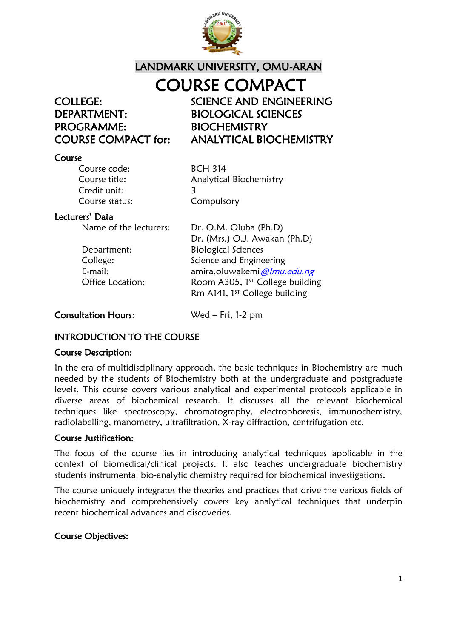

## LANDMARK UNIVERSITY, OMU-ARAN COURSE COMPACT

PROGRAMME: BIOCHEMISTRY

COLLEGE: SCIENCE AND ENGINEERING DEPARTMENT: BIOLOGICAL SCIENCES COURSE COMPACT for: ANALYTICAL BIOCHEMISTRY

#### Course

| <b>BCH 314</b>          |
|-------------------------|
| Analytical Biochemistry |
|                         |
| Compulsory              |
|                         |

#### Lecturers' Data

Name of the lecturers: Dr. O.M. Oluba (Ph.D) Dr. (Mrs.) O.J. Awakan (Ph.D) Department: Biological Sciences College: Science and Engineering E-mail: amira.oluwakemi *@lmu.edu.ng* Office Location: Room A305, 1<sup>st</sup> College building Rm A141,  $1<sup>ST</sup>$  College building

#### Consultation Hours: Wed – Fri, 1-2 pm

#### INTRODUCTION TO THE COURSE

#### Course Description:

In the era of multidisciplinary approach, the basic techniques in Biochemistry are much needed by the students of Biochemistry both at the undergraduate and postgraduate levels. This course covers various analytical and experimental protocols applicable in diverse areas of biochemical research. It discusses all the relevant biochemical techniques like spectroscopy, chromatography, electrophoresis, immunochemistry, radiolabelling, manometry, ultrafiltration, X-ray diffraction, centrifugation etc.

#### Course Justification:

The focus of the course lies in introducing analytical techniques applicable in the context of biomedical/clinical projects. It also teaches undergraduate biochemistry students instrumental bio-analytic chemistry required for biochemical investigations.

The course uniquely integrates the theories and practices that drive the various fields of biochemistry and comprehensively covers key analytical techniques that underpin recent biochemical advances and discoveries.

#### Course Objectives: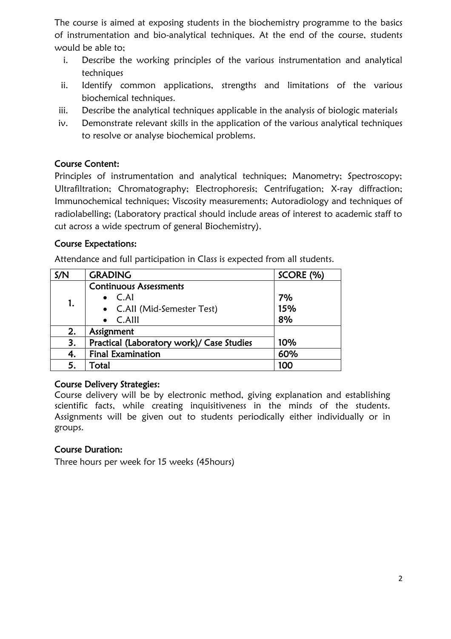The course is aimed at exposing students in the biochemistry programme to the basics of instrumentation and bio-analytical techniques. At the end of the course, students would be able to;

- i. Describe the working principles of the various instrumentation and analytical techniques
- ii. Identify common applications, strengths and limitations of the various biochemical techniques.
- iii. Describe the analytical techniques applicable in the analysis of biologic materials
- iv. Demonstrate relevant skills in the application of the various analytical techniques to resolve or analyse biochemical problems.

#### Course Content:

Principles of instrumentation and analytical techniques; Manometry; Spectroscopy; Ultrafiltration; Chromatography; Electrophoresis; Centrifugation; X-ray diffraction; Immunochemical techniques; Viscosity measurements; Autoradiology and techniques of radiolabelling; (Laboratory practical should include areas of interest to academic staff to cut across a wide spectrum of general Biochemistry).

#### Course Expectations:

Attendance and full participation in Class is expected from all students.

| S/N | <b>GRADING</b>                            | SCORE (%) |
|-----|-------------------------------------------|-----------|
| 1.  | <b>Continuous Assessments</b>             |           |
|     | $\bullet$ C.Al                            | 7%        |
|     | • C.All (Mid-Semester Test)               | 15%       |
|     | C.AIII                                    | 8%        |
| 2.  | Assignment                                |           |
| 3.  | Practical (Laboratory work)/ Case Studies | 10%       |
| 4.  | <b>Final Examination</b>                  | 60%       |
| 5.  | Total                                     | 100       |

#### Course Delivery Strategies:

Course delivery will be by electronic method, giving explanation and establishing scientific facts, while creating inquisitiveness in the minds of the students. Assignments will be given out to students periodically either individually or in groups.

#### Course Duration:

Three hours per week for 15 weeks (45hours)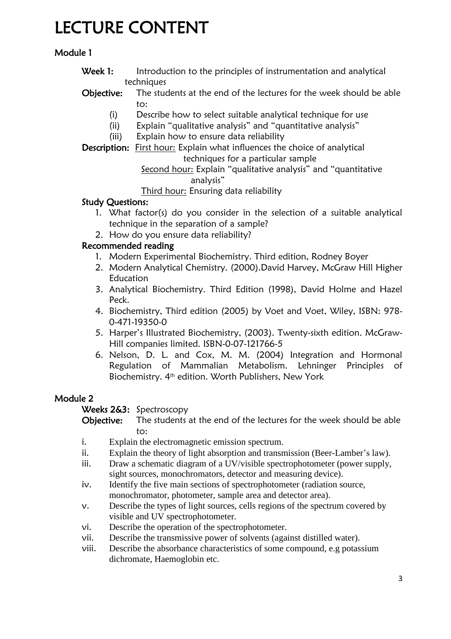# LECTURE CONTENT

## Module 1

- Week 1: Introduction to the principles of instrumentation and analytical techniques
- Objective: The students at the end of the lectures for the week should be able to:
	- (i) Describe how to select suitable analytical technique for use
	- (ii) Explain "qualitative analysis" and "quantitative analysis"
	- (iii) Explain how to ensure data reliability

Description: First hour: Explain what influences the choice of analytical techniques for a particular sample

Second hour: Explain "qualitative analysis" and "quantitative analysis"

Third hour: Ensuring data reliability

#### Study Questions:

- 1. What factor(s) do you consider in the selection of a suitable analytical technique in the separation of a sample?
- 2. How do you ensure data reliability?

#### Recommended reading

- 1. Modern Experimental Biochemistry. Third edition, Rodney Boyer
- 2. Modern Analytical Chemistry. (2000).David Harvey, McGraw Hill Higher Education
- 3. Analytical Biochemistry. Third Edition (1998), David Holme and Hazel Peck.
- 4. Biochemistry, Third edition (2005) by Voet and Voet, Wiley, ISBN: 978- 0-471-19350-0
- 5. Harper's Illustrated Biochemistry, (2003). Twenty-sixth edition. McGraw-Hill companies limited. ISBN-0-07-121766-5
- 6. Nelson, D. L. and Cox, M. M. (2004) Integration and Hormonal Regulation of Mammalian Metabolism. Lehninger Principles of Biochemistry. 4th edition. Worth Publishers, New York

#### Module 2

Weeks 2&3: Spectroscopy

- Objective: The students at the end of the lectures for the week should be able to:
- i. Explain the electromagnetic emission spectrum.
- ii. Explain the theory of light absorption and transmission (Beer-Lamber's law).
- iii. Draw a schematic diagram of a UV/visible spectrophotometer (power supply, sight sources, monochromators, detector and measuring device).
- iv. Identify the five main sections of spectrophotometer (radiation source, monochromator, photometer, sample area and detector area).
- v. Describe the types of light sources, cells regions of the spectrum covered by visible and UV spectrophotometer.
- vi. Describe the operation of the spectrophotometer.
- vii. Describe the transmissive power of solvents (against distilled water).
- viii. Describe the absorbance characteristics of some compound, e.g potassium dichromate, Haemoglobin etc.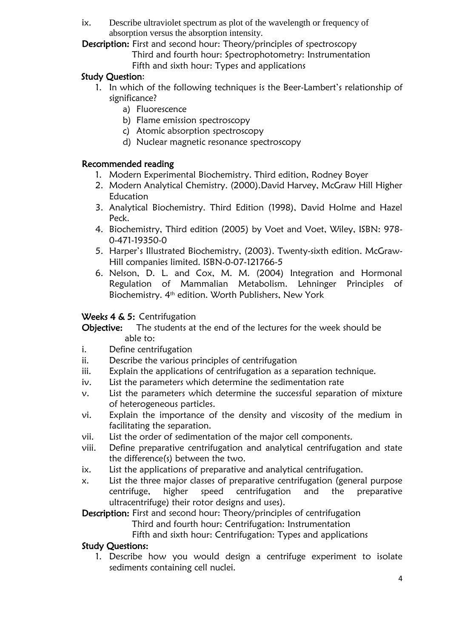ix. Describe ultraviolet spectrum as plot of the wavelength or frequency of absorption versus the absorption intensity.

Description: First and second hour: Theory/principles of spectroscopy

- Third and fourth hour: Spectrophotometry: Instrumentation
- Fifth and sixth hour: Types and applications

## Study Question:

- 1. In which of the following techniques is the Beer-Lambert's relationship of significance?
	- a) Fluorescence
	- b) Flame emission spectroscopy
	- c) Atomic absorption spectroscopy
	- d) Nuclear magnetic resonance spectroscopy

#### Recommended reading

- 1. Modern Experimental Biochemistry. Third edition, Rodney Boyer
- 2. Modern Analytical Chemistry. (2000).David Harvey, McGraw Hill Higher Education
- 3. Analytical Biochemistry. Third Edition (1998), David Holme and Hazel Peck.
- 4. Biochemistry, Third edition (2005) by Voet and Voet, Wiley, ISBN: 978- 0-471-19350-0
- 5. Harper's Illustrated Biochemistry, (2003). Twenty-sixth edition. McGraw-Hill companies limited. ISBN-0-07-121766-5
- 6. Nelson, D. L. and Cox, M. M. (2004) Integration and Hormonal Regulation of Mammalian Metabolism. Lehninger Principles of Biochemistry. 4th edition. Worth Publishers, New York

#### Weeks 4 & 5: Centrifugation

- Objective: The students at the end of the lectures for the week should be able to:
- i. Define centrifugation
- ii. Describe the various principles of centrifugation
- iii. Explain the applications of centrifugation as a separation technique.
- iv. List the parameters which determine the sedimentation rate
- v. List the parameters which determine the successful separation of mixture of heterogeneous particles.
- vi. Explain the importance of the density and viscosity of the medium in facilitating the separation.
- vii. List the order of sedimentation of the major cell components.
- viii. Define preparative centrifugation and analytical centrifugation and state the difference(s) between the two.
- ix. List the applications of preparative and analytical centrifugation.
- x. List the three major classes of preparative centrifugation (general purpose centrifuge, higher speed centrifugation and the preparative ultracentrifuge) their rotor designs and uses).

Description: First and second hour: Theory/principles of centrifugation

Third and fourth hour: Centrifugation: Instrumentation

Fifth and sixth hour: Centrifugation: Types and applications

#### Study Questions:

1. Describe how you would design a centrifuge experiment to isolate sediments containing cell nuclei.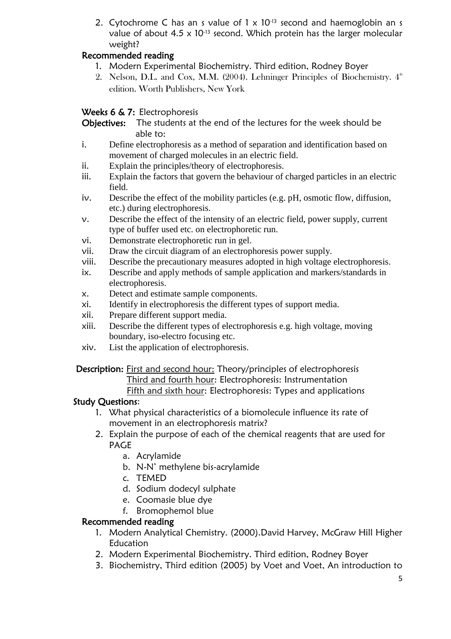2. Cytochrome C has an s value of  $1 \times 10^{-13}$  second and haemoglobin an s value of about  $4.5 \times 10^{-13}$  second. Which protein has the larger molecular weight?

## Recommended reading

- 1. Modern Experimental Biochemistry. Third edition, Rodney Boyer
- 2. Nelson, D.L. and Cox, M.M. (2004). Lehninger Principles of Biochemistry.  $4<sup>th</sup>$ edition. Worth Publishers, New York

## Weeks 6 & 7: Electrophoresis

Objectives: The students at the end of the lectures for the week should be able to:

- i. Define electrophoresis as a method of separation and identification based on movement of charged molecules in an electric field.
- ii. Explain the principles/theory of electrophoresis.
- iii. Explain the factors that govern the behaviour of charged particles in an electric field.
- iv. Describe the effect of the mobility particles (e.g. pH, osmotic flow, diffusion, etc.) during electrophoresis.
- v. Describe the effect of the intensity of an electric field, power supply, current type of buffer used etc. on electrophoretic run.
- vi. Demonstrate electrophoretic run in gel.
- vii. Draw the circuit diagram of an electrophoresis power supply.
- viii. Describe the precautionary measures adopted in high voltage electrophoresis.
- ix. Describe and apply methods of sample application and markers/standards in electrophoresis.
- x. Detect and estimate sample components.
- xi. Identify in electrophoresis the different types of support media.
- xii. Prepare different support media.
- xiii. Describe the different types of electrophoresis e.g. high voltage, moving boundary, iso-electro focusing etc.
- xiv. List the application of electrophoresis.

#### Description: First and second hour: Theory/principles of electrophoresis

Third and fourth hour: Electrophoresis: Instrumentation

#### Fifth and sixth hour: Electrophoresis: Types and applications

#### Study Questions:

- 1. What physical characteristics of a biomolecule influence its rate of movement in an electrophoresis matrix?
- 2. Explain the purpose of each of the chemical reagents that are used for PAGE
	- a. Acrylamide
	- b. N-N' methylene bis-acrylamide
	- c. TEMED
	- d. Sodium dodecyl sulphate
	- e. Coomasie blue dye
	- f. Bromophemol blue

#### Recommended reading

- 1. Modern Analytical Chemistry. (2000).David Harvey, McGraw Hill Higher Education
- 2. Modern Experimental Biochemistry. Third edition, Rodney Boyer
- 3. Biochemistry, Third edition (2005) by Voet and Voet, An introduction to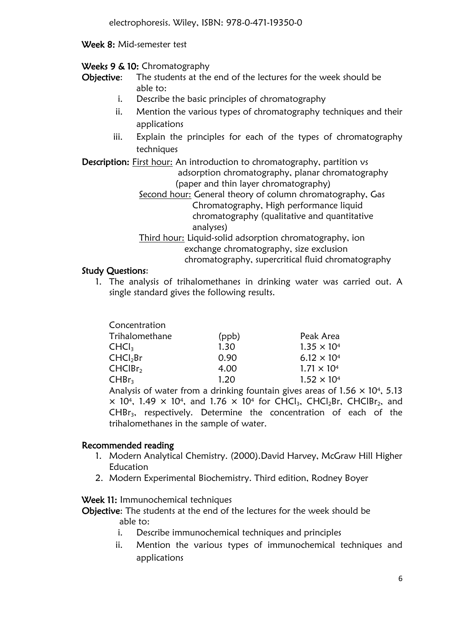#### Week 8: Mid-semester test

#### Weeks 9 & 10: Chromatography

Objective: The students at the end of the lectures for the week should be able to:

- i. Describe the basic principles of chromatography
- ii. Mention the various types of chromatography techniques and their applications
- iii. Explain the principles for each of the types of chromatography techniques

Description: First hour: An introduction to chromatography, partition vs adsorption chromatography, planar chromatography (paper and thin layer chromatography)

- Second hour: General theory of column chromatography, Gas Chromatography, High performance liquid chromatography (qualitative and quantitative analyses)
- Third hour: Liquid-solid adsorption chromatography, ion exchange chromatography, size exclusion chromatography, supercritical fluid chromatography

#### Study Questions:

1. The analysis of trihalomethanes in drinking water was carried out. A single standard gives the following results.

| Concentration        |       |                                                                                         |
|----------------------|-------|-----------------------------------------------------------------------------------------|
| Trihalomethane       | (ppb) | Peak Area                                                                               |
| CHCl <sub>3</sub>    | 1.30  | $1.35 \times 10^{4}$                                                                    |
| CHCl <sub>2</sub> Br | 0.90  | $6.12 \times 10^{4}$                                                                    |
| CHCIBr <sub>2</sub>  | 4.00  | $1.71 \times 10^{4}$                                                                    |
| CHBr <sub>3</sub>    | 1.20  | $1.52 \times 10^{4}$                                                                    |
|                      |       | Analysis of water from a drinking fountain gives areas of 1.56 $\times$ 10 <sup>4</sup> |

10<sup>4</sup>, 5.13  $\times$  10<sup>4</sup>, 1.49  $\times$  10<sup>4</sup>, and 1.76  $\times$  10<sup>4</sup> for CHCl<sub>3</sub>, CHCl<sub>2</sub>Br, CHClBr<sub>2</sub>, and CHBr<sub>3</sub>, respectively. Determine the concentration of each of the trihalomethanes in the sample of water.

#### Recommended reading

- 1. Modern Analytical Chemistry. (2000).David Harvey, McGraw Hill Higher Education
- 2. Modern Experimental Biochemistry. Third edition, Rodney Boyer

Week 11: Immunochemical techniques

Objective: The students at the end of the lectures for the week should be able to:

- i. Describe immunochemical techniques and principles
- ii. Mention the various types of immunochemical techniques and applications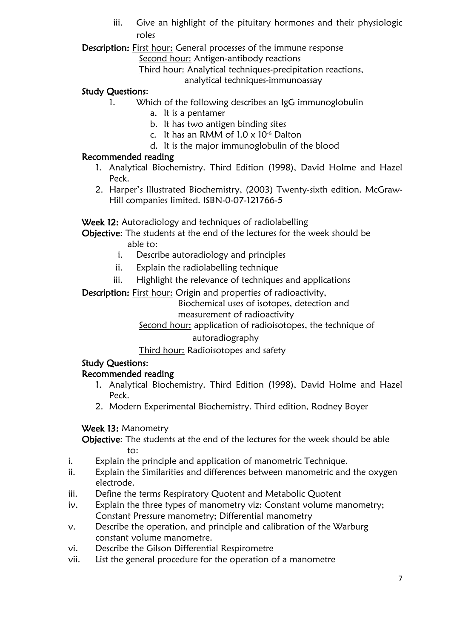iii. Give an highlight of the pituitary hormones and their physiologic roles

Description: First hour: General processes of the immune response

Second hour: Antigen-antibody reactions

Third hour: Analytical techniques-precipitation reactions,

analytical techniques-immunoassay

#### Study Questions:

- 1. Which of the following describes an IgG immunoglobulin
	- a. It is a pentamer
	- b. It has two antigen binding sites
	- c. It has an RMM of  $1.0 \times 10^{-6}$  Dalton
	- d. It is the major immunoglobulin of the blood

#### Recommended reading

- 1. Analytical Biochemistry. Third Edition (1998), David Holme and Hazel Peck.
- 2. Harper's Illustrated Biochemistry, (2003) Twenty-sixth edition. McGraw-Hill companies limited. ISBN-0-07-121766-5

Week 12: Autoradiology and techniques of radiolabelling

Objective: The students at the end of the lectures for the week should be able to:

- i. Describe autoradiology and principles
- ii. Explain the radiolabelling technique
- iii. Highlight the relevance of techniques and applications

Description: First hour: Origin and properties of radioactivity,

 Biochemical uses of isotopes, detection and measurement of radioactivity

Second hour: application of radioisotopes, the technique of

#### autoradiography

#### Third hour: Radioisotopes and safety

#### Study Questions:

#### Recommended reading

- 1. Analytical Biochemistry. Third Edition (1998), David Holme and Hazel Peck.
- 2. Modern Experimental Biochemistry. Third edition, Rodney Boyer

#### Week 13: Manometry

Objective: The students at the end of the lectures for the week should be able to:

- i. Explain the principle and application of manometric Technique.
- ii. Explain the Similarities and differences between manometric and the oxygen electrode.
- iii. Define the terms Respiratory Quotent and Metabolic Quotent
- iv. Explain the three types of manometry viz: Constant volume manometry; Constant Pressure manometry; Differential manometry
- v. Describe the operation, and principle and calibration of the Warburg constant volume manometre.
- vi. Describe the Gilson Differential Respirometre
- vii. List the general procedure for the operation of a manometre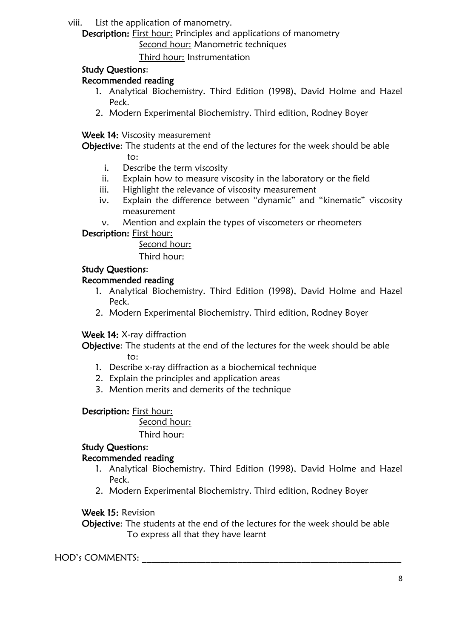viii. List the application of manometry.

Description: First hour: Principles and applications of manometry

Second hour: Manometric techniques

Third hour: Instrumentation

## Study Questions:

## Recommended reading

- 1. Analytical Biochemistry. Third Edition (1998), David Holme and Hazel Peck.
- 2. Modern Experimental Biochemistry. Third edition, Rodney Boyer

Week 14: Viscosity measurement

Objective: The students at the end of the lectures for the week should be able to:

- i. Describe the term viscosity
- ii. Explain how to measure viscosity in the laboratory or the field
- iii. Highlight the relevance of viscosity measurement
- iv. Explain the difference between "dynamic" and "kinematic" viscosity measurement
- v. Mention and explain the types of viscometers or rheometers

Description: First hour:

Second hour:

Third hour:

## Study Questions:

## Recommended reading

- 1. Analytical Biochemistry. Third Edition (1998), David Holme and Hazel Peck.
- 2. Modern Experimental Biochemistry. Third edition, Rodney Boyer

## Week 14: X-ray diffraction

Objective: The students at the end of the lectures for the week should be able to:

- 1. Describe x-ray diffraction as a biochemical technique
- 2. Explain the principles and application areas
- 3. Mention merits and demerits of the technique

## Description: First hour:

Second hour:

Third hour:

## Study Questions:

## Recommended reading

- 1. Analytical Biochemistry. Third Edition (1998), David Holme and Hazel Peck.
- 2. Modern Experimental Biochemistry. Third edition, Rodney Boyer

## Week 15: Revision

Objective: The students at the end of the lectures for the week should be able To express all that they have learnt

## HOD's COMMENTS: